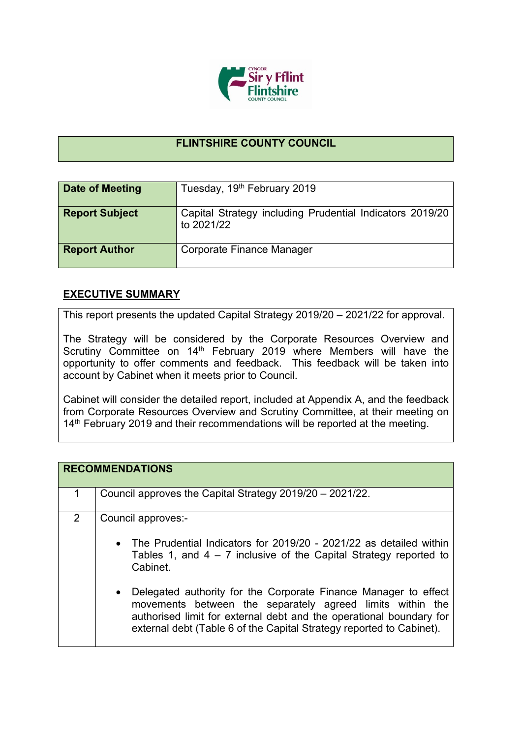

## **FLINTSHIRE COUNTY COUNCIL**

| Date of Meeting       | Tuesday, 19th February 2019                                            |
|-----------------------|------------------------------------------------------------------------|
| <b>Report Subject</b> | Capital Strategy including Prudential Indicators 2019/20<br>to 2021/22 |
| <b>Report Author</b>  | Corporate Finance Manager                                              |

## **EXECUTIVE SUMMARY**

This report presents the updated Capital Strategy 2019/20 – 2021/22 for approval.

The Strategy will be considered by the Corporate Resources Overview and Scrutiny Committee on 14<sup>th</sup> February 2019 where Members will have the opportunity to offer comments and feedback. This feedback will be taken into account by Cabinet when it meets prior to Council.

Cabinet will consider the detailed report, included at Appendix A, and the feedback from Corporate Resources Overview and Scrutiny Committee, at their meeting on 14<sup>th</sup> February 2019 and their recommendations will be reported at the meeting.

| Council approves the Capital Strategy 2019/20 - 2021/22.<br>$\overline{2}$<br>Council approves:-<br>Cabinet. | <b>RECOMMENDATIONS</b>                                                                                                                                                                                                                                                                                                                             |
|--------------------------------------------------------------------------------------------------------------|----------------------------------------------------------------------------------------------------------------------------------------------------------------------------------------------------------------------------------------------------------------------------------------------------------------------------------------------------|
|                                                                                                              |                                                                                                                                                                                                                                                                                                                                                    |
| $\bullet$<br>external debt (Table 6 of the Capital Strategy reported to Cabinet).                            | • The Prudential Indicators for 2019/20 - 2021/22 as detailed within<br>Tables 1, and $4 - 7$ inclusive of the Capital Strategy reported to<br>Delegated authority for the Corporate Finance Manager to effect<br>movements between the separately agreed limits within the<br>authorised limit for external debt and the operational boundary for |